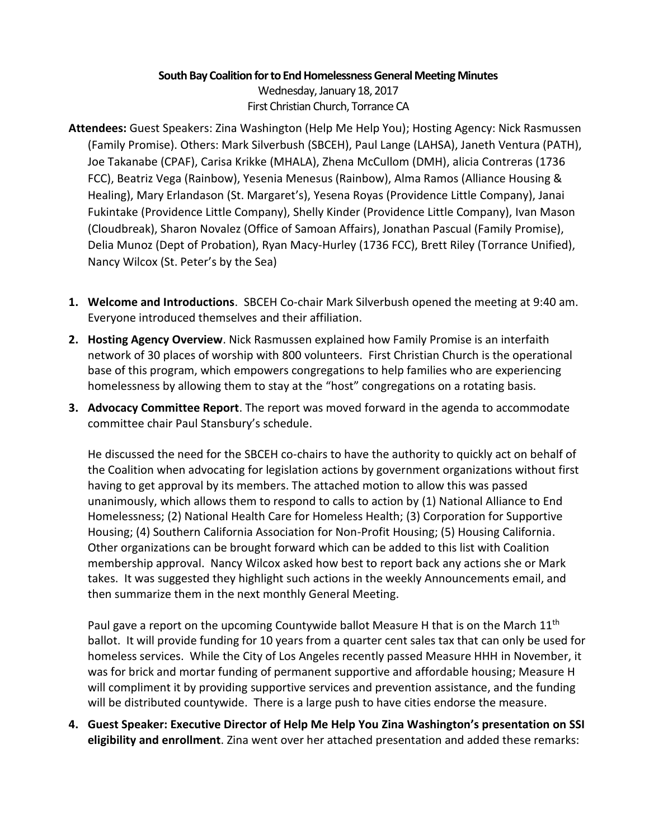## **South Bay Coalition for to End Homelessness General Meeting Minutes**

Wednesday, January 18, 2017 First Christian Church, Torrance CA

- **Attendees:** Guest Speakers: Zina Washington (Help Me Help You); Hosting Agency: Nick Rasmussen (Family Promise). Others: Mark Silverbush (SBCEH), Paul Lange (LAHSA), Janeth Ventura (PATH), Joe Takanabe (CPAF), Carisa Krikke (MHALA), Zhena McCullom (DMH), alicia Contreras (1736 FCC), Beatriz Vega (Rainbow), Yesenia Menesus (Rainbow), Alma Ramos (Alliance Housing & Healing), Mary Erlandason (St. Margaret's), Yesena Royas (Providence Little Company), Janai Fukintake (Providence Little Company), Shelly Kinder (Providence Little Company), Ivan Mason (Cloudbreak), Sharon Novalez (Office of Samoan Affairs), Jonathan Pascual (Family Promise), Delia Munoz (Dept of Probation), Ryan Macy-Hurley (1736 FCC), Brett Riley (Torrance Unified), Nancy Wilcox (St. Peter's by the Sea)
- **1. Welcome and Introductions**. SBCEH Co-chair Mark Silverbush opened the meeting at 9:40 am. Everyone introduced themselves and their affiliation.
- **2. Hosting Agency Overview**. Nick Rasmussen explained how Family Promise is an interfaith network of 30 places of worship with 800 volunteers. First Christian Church is the operational base of this program, which empowers congregations to help families who are experiencing homelessness by allowing them to stay at the "host" congregations on a rotating basis.
- **3. Advocacy Committee Report**. The report was moved forward in the agenda to accommodate committee chair Paul Stansbury's schedule.

He discussed the need for the SBCEH co-chairs to have the authority to quickly act on behalf of the Coalition when advocating for legislation actions by government organizations without first having to get approval by its members. The attached motion to allow this was passed unanimously, which allows them to respond to calls to action by (1) National Alliance to End Homelessness; (2) National Health Care for Homeless Health; (3) Corporation for Supportive Housing; (4) Southern California Association for Non-Profit Housing; (5) Housing California. Other organizations can be brought forward which can be added to this list with Coalition membership approval. Nancy Wilcox asked how best to report back any actions she or Mark takes. It was suggested they highlight such actions in the weekly Announcements email, and then summarize them in the next monthly General Meeting.

Paul gave a report on the upcoming Countywide ballot Measure H that is on the March 11<sup>th</sup> ballot. It will provide funding for 10 years from a quarter cent sales tax that can only be used for homeless services. While the City of Los Angeles recently passed Measure HHH in November, it was for brick and mortar funding of permanent supportive and affordable housing; Measure H will compliment it by providing supportive services and prevention assistance, and the funding will be distributed countywide. There is a large push to have cities endorse the measure.

**4. Guest Speaker: Executive Director of Help Me Help You Zina Washington's presentation on SSI eligibility and enrollment**. Zina went over her attached presentation and added these remarks: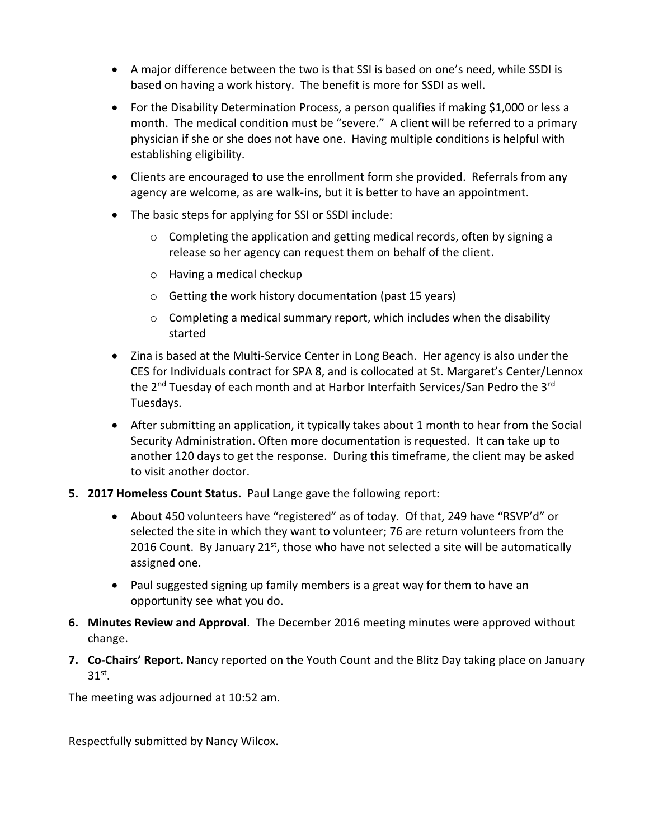- A major difference between the two is that SSI is based on one's need, while SSDI is based on having a work history. The benefit is more for SSDI as well.
- For the Disability Determination Process, a person qualifies if making \$1,000 or less a month. The medical condition must be "severe." A client will be referred to a primary physician if she or she does not have one. Having multiple conditions is helpful with establishing eligibility.
- Clients are encouraged to use the enrollment form she provided. Referrals from any agency are welcome, as are walk-ins, but it is better to have an appointment.
- The basic steps for applying for SSI or SSDI include:
	- $\circ$  Completing the application and getting medical records, often by signing a release so her agency can request them on behalf of the client.
	- o Having a medical checkup
	- o Getting the work history documentation (past 15 years)
	- $\circ$  Completing a medical summary report, which includes when the disability started
- Zina is based at the Multi-Service Center in Long Beach. Her agency is also under the CES for Individuals contract for SPA 8, and is collocated at St. Margaret's Center/Lennox the 2<sup>nd</sup> Tuesday of each month and at Harbor Interfaith Services/San Pedro the 3<sup>rd</sup> Tuesdays.
- After submitting an application, it typically takes about 1 month to hear from the Social Security Administration. Often more documentation is requested. It can take up to another 120 days to get the response. During this timeframe, the client may be asked to visit another doctor.
- **5. 2017 Homeless Count Status.** Paul Lange gave the following report:
	- About 450 volunteers have "registered" as of today. Of that, 249 have "RSVP'd" or selected the site in which they want to volunteer; 76 are return volunteers from the 2016 Count. By January  $21^{st}$ , those who have not selected a site will be automatically assigned one.
	- Paul suggested signing up family members is a great way for them to have an opportunity see what you do.
- **6. Minutes Review and Approval**. The December 2016 meeting minutes were approved without change.
- **7. Co-Chairs' Report.** Nancy reported on the Youth Count and the Blitz Day taking place on January  $31<sup>st</sup>$ .

The meeting was adjourned at 10:52 am.

Respectfully submitted by Nancy Wilcox.